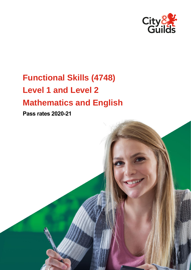

# **Functional Skills (4748) Level 1 and Level 2 Mathematics and English**

**Pass rates 2020-21**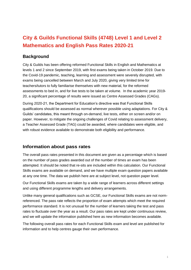## **City & Guilds Functional Skills (4748) Level 1 and Level 2 Mathematics and English Pass Rates 2020-21**

## **Background**

City & Guilds has been offering reformed Functional Skills in English and Mathematics at levels 1 and 2 since September 2019, with first exams being taken in October 2019. Due to the Covid-19 pandemic, teaching, learning and assessment were severely disrupted, with exams being cancelled between March and July 2020, giving very limited time for teachers/tutors to fully familiarise themselves with new material, for the reformed assessments to bed in, and for live tests to be taken at volume. In the academic year 2019- 20, a significant percentage of results were issued as Centre Assessed Grades (CAGs).

During 2020-21, the Department for Education's directive was that Functional Skills qualifications should be assessed as normal wherever possible using adaptations. For City & Guilds' candidates, this meant through on-demand, live tests, either on screen and/or on paper. However, to mitigate the ongoing challenges of Covid relating to assessment delivery, a Teacher Assessed Grade (TAG) could be awarded, where candidates were eligible, and with robust evidence available to demonstrate both eligibility and performance.

## **Information about pass rates**

The overall pass rates presented in this document are given as a percentage which is based on the number of pass grades awarded out of the number of times an exam has been attempted. It should be noted that re-sits are included within this calculation. Our Functional Skills exams are available on demand, and we have multiple exam question papers available at any one time. The data we publish here are at subject level, not question paper level.

Our Functional Skills exams are taken by a wide range of learners across different settings and using different programme lengths and delivery arrangements.

Unlike many general qualifications such as GCSE, our Functional Skills exams are not normreferenced. The pass rate reflects the proportion of exam attempts which meet the required performance standard. It is not unusual for the number of learners taking the test and pass rates to fluctuate over the year as a result. Our pass rates are kept under continuous review, and we will update the information published here as new information becomes available.

The following overall pass rates for each Functional Skills exam and level are published for information and to help centres gauge their own performance.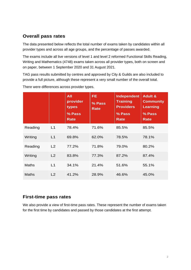## **Overall pass rates**

The data presented below reflects the total number of exams taken by candidates within all provider types and across all age groups, and the percentage of passes awarded.

The exams include all live versions of level 1 and level 2 reformed Functional Skills Reading, Writing and Mathematics (4748) exams taken across all provider types, both on screen and on paper, between 1 September 2020 and 31 August 2021.

TAG pass results submitted by centres and approved by City & Guilds are also included to provide a full picture, although these represent a very small number of the overall total.

|              |    | <b>All</b><br>provider<br>types<br>% Pass<br><b>Rate</b> | <b>FE</b><br>% Pass<br><b>Rate</b> | Independent<br><b>Training</b><br><b>Providers</b><br>% Pass<br><b>Rate</b> | <b>Adult &amp;</b><br><b>Community</b><br><b>Learning</b><br>% Pass<br><b>Rate</b> |
|--------------|----|----------------------------------------------------------|------------------------------------|-----------------------------------------------------------------------------|------------------------------------------------------------------------------------|
| Reading      | L1 | 78.4%                                                    | 71.6%                              | 85.5%                                                                       | 85.5%                                                                              |
| Writing      | L1 | 69.8%                                                    | 62.0%                              | 78.5%                                                                       | 78.1%                                                                              |
| Reading      | L2 | 77.2%                                                    | 71.8%                              | 79.0%                                                                       | 80.2%                                                                              |
| Writing      | L2 | 83.8%                                                    | 77.3%                              | 87.2%                                                                       | 87.4%                                                                              |
| <b>Maths</b> | L1 | 34.1%                                                    | 21.4%                              | 51.6%                                                                       | 55.1%                                                                              |
| <b>Maths</b> | L2 | 41.2%                                                    | 28.9%                              | 46.6%                                                                       | 45.0%                                                                              |

There were differences across provider types.

## **First-time pass rates**

We also provide a view of first-time pass rates. These represent the number of exams taken for the first time by candidates and passed by those candidates at the first attempt.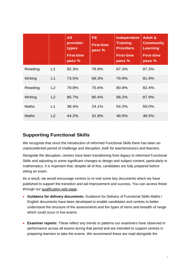|              |    | All<br>provider<br>types<br><b>First-time</b><br>pass % | <b>FE</b><br><b>First-time</b><br>pass % | Independent<br><b>Training</b><br><b>Providers</b><br><b>First-time</b><br>pass % | <b>Adult &amp;</b><br><b>Community</b><br><b>Learning</b><br><b>First-time</b><br>pass % |
|--------------|----|---------------------------------------------------------|------------------------------------------|-----------------------------------------------------------------------------------|------------------------------------------------------------------------------------------|
| Reading      | L1 | 82.3%                                                   | 76.9%                                    | 87.3%                                                                             | 87.3%                                                                                    |
| Writing      | L1 | 73.5%                                                   | 66.3%                                    | 79.9%                                                                             | 81.9%                                                                                    |
| Reading      | L2 | 79.8%                                                   | 75.6%                                    | 80.9%                                                                             | 82.4%                                                                                    |
| Writing      | L2 | 85.7%                                                   | 80.4%                                    | 88.2%                                                                             | 87.9%                                                                                    |
| <b>Maths</b> | L1 | 38.4%                                                   | 24.1%                                    | 54.2%                                                                             | 59.0%                                                                                    |
| <b>Maths</b> | L2 | 44.2%                                                   | 31.8%                                    | 48.5%                                                                             | 48.5%                                                                                    |

## **Supporting Functional Skills**

We recognise that since the introduction of reformed Functional Skills there has been an unprecedented period of challenge and disruption, both for teachers/tutors and learners.

Alongside the disruption, centres have been transitioning from legacy to reformed Functional Skills and adjusting to some significant changes to design and subject content, particularly in mathematics. It is important that, despite all of this, candidates are fully prepared before sitting an exam.

As a result, we would encourage centres to re-visit some key documents which we have published to support the transition and aid improvement and success. You can access these through our [qualification web page.](https://www.cityandguilds.com/qualifications-and-apprenticeships/skills-for-work-and-life/english-mathematics-and-ict-skills/4748-functional-skills#tab=documents)

- **Guidance for delivery documents:** Guidance for Delivery of Functional Skills Maths / English documents have been developed to enable candidates and centres to better understand the structure of the assessments and the types of items and breadth of range which could occur in live exams.
- **Examiner reports:** These reflect any trends or patterns our examiners have observed in performance across all exams during that period and are intended to support centres in preparing learners to take the exams. We recommend these are read alongside the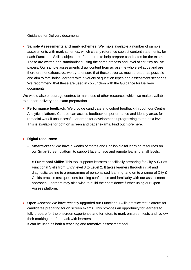Guidance for Delivery documents.

• **Sample Assessments and mark schemes:** We make available a number of sample assessments with mark schemes, which clearly reference subject content statements, for each Functional Skills subject area for centres to help prepare candidates for the exam. These are written and standardised using the same process and level of scrutiny as live papers. Our sample assessments draw content from across the whole syllabus and are therefore not exhaustive; we try to ensure that these cover as much breadth as possible and aim to familiarise learners with a variety of question types and assessment scenarios. We recommend that these are used in conjunction with the Guidance for Delivery documents.

We would also encourage centres to make use of other resources which we make available to support delivery and exam preparation.

• **Performance feedback:** We provide candidate and cohort feedback through our Centre Analytics platform. Centres can access feedback on performance and identify areas for remedial work if unsuccessful, or areas for development if progressing to the next level. This is available for both on screen and paper exams. Find out more [here.](https://www.cityandguilds.com/what-we-offer/centres/working-with-us/e-volve/copy-of-e-volve-centre-analytics)

#### • **Digital resources:**

- **SmartScreen:** We have a wealth of maths and English digital learning resources on our SmartScreen platform to support face to face and remote learning at all levels.
- **e-Functional Skills:** This tool supports learners specifically preparing for City & Guilds Functional Skills from Entry level 3 to Level 2. It takes learners through initial and diagnostic testing to a programme of personalised learning, and on to a range of City & Guilds practice test questions building confidence and familiarity with our assessment approach. Learners may also wish to build their confidence further using our Open Assess platform.
- **Open Assess:** We have recently upgraded our Functional Skills practice test platform for candidates preparing for on screen exams. This provides an opportunity for learners to fully prepare for the onscreen experience and for tutors to mark onscreen tests and review their marking and feedback with learners.

It can be used as both a teaching and formative assessment tool.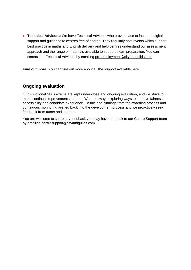• **Technical Advisors:** We have Technical Advisors who provide face to face and digital support and guidance to centres free of charge. They regularly host events which support best practice in maths and English delivery and help centres understand our assessment approach and the range of materials available to support exam preparation. You can contact our Technical Advisors by emailing [pre-employment@cityandguilds.com.](mailto:pre-employment@cityandguilds.com)

**Find out more:** You can find out more about all the [support available here.](https://www.cityandguilds.com/what-we-offer/centres/maths-and-english/functional-skills/frequently-asked-questions)

## **Ongoing evaluation**

Our Functional Skills exams are kept under close and ongoing evaluation, and we strive to make continual improvements to them. We are always exploring ways to improve fairness, accessibility and candidate experience. To this end, findings from the awarding process and continuous monitoring are fed back into the development process and we proactively seek feedback from tutors and learners.

You are welcome to share any feedback you may have or speak to our Centre Support team by emailing [centresupport@cityandguilds.com](mailto:centresupport@cityandguilds.com)